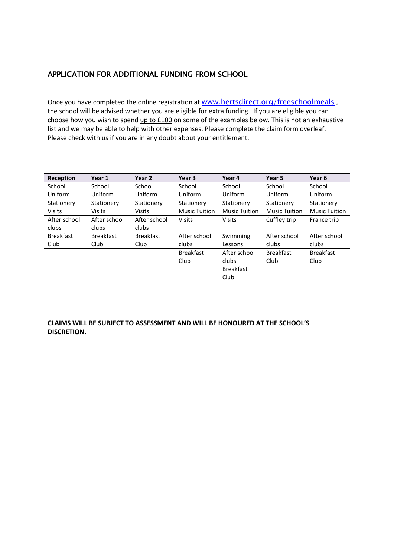## APPLICATION FOR ADDITIONAL FUNDING FROM SCHOOL

Once you have completed the online registration at [www.hertsdirect.org/freeschoolmeals](http://www.hertsdirect.org/freeschoolmeals), the school will be advised whether you are eligible for extra funding. If you are eligible you can choose how you wish to spend up to £100 on some of the examples below. This is not an exhaustive list and we may be able to help with other expenses. Please complete the claim form overleaf. Please check with us if you are in any doubt about your entitlement.

| Reception        | Year 1           | Year 2           | Year <sub>3</sub>    | Year 4               | Year 5               | Year 6               |
|------------------|------------------|------------------|----------------------|----------------------|----------------------|----------------------|
| School           | School           | School           | School               | School               | School               | School               |
| Uniform          | Uniform          | Uniform          | Uniform              | Uniform              | Uniform              | Uniform              |
| Stationery       | Stationery       | Stationery       | Stationery           | Stationery           | Stationery           | Stationery           |
| <b>Visits</b>    | <b>Visits</b>    | <b>Visits</b>    | <b>Music Tuition</b> | <b>Music Tuition</b> | <b>Music Tuition</b> | <b>Music Tuition</b> |
| After school     | After school     | After school     | <b>Visits</b>        | <b>Visits</b>        | Cuffley trip         | France trip          |
| clubs            | clubs            | clubs            |                      |                      |                      |                      |
| <b>Breakfast</b> | <b>Breakfast</b> | <b>Breakfast</b> | After school         | Swimming             | After school         | After school         |
| Club             | Club             | <b>Club</b>      | clubs                | Lessons              | clubs                | clubs                |
|                  |                  |                  | <b>Breakfast</b>     | After school         | <b>Breakfast</b>     | <b>Breakfast</b>     |
|                  |                  |                  | Club                 | clubs                | Club                 | Club                 |
|                  |                  |                  |                      | <b>Breakfast</b>     |                      |                      |
|                  |                  |                  |                      | Club                 |                      |                      |

**CLAIMS WILL BE SUBJECT TO ASSESSMENT AND WILL BE HONOURED AT THE SCHOOL'S DISCRETION.**